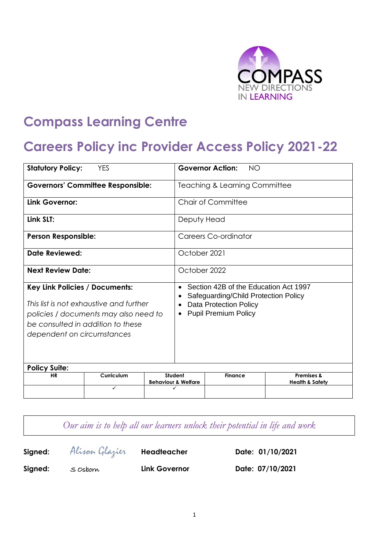

# **Compass Learning Centre**

# **Careers Policy inc Provider Access Policy 2021-22**

| <b>Statutory Policy:</b><br><b>YES</b>                                                                                                                                                       |            | <b>Governor Action:</b><br>NO |                                                                                                                                                                         |                |                                                     |
|----------------------------------------------------------------------------------------------------------------------------------------------------------------------------------------------|------------|-------------------------------|-------------------------------------------------------------------------------------------------------------------------------------------------------------------------|----------------|-----------------------------------------------------|
| <b>Governors' Committee Responsible:</b>                                                                                                                                                     |            |                               | <b>Teaching &amp; Learning Committee</b>                                                                                                                                |                |                                                     |
| Link Governor:                                                                                                                                                                               |            |                               | Chair of Committee                                                                                                                                                      |                |                                                     |
| Link SLT:                                                                                                                                                                                    |            |                               | Deputy Head                                                                                                                                                             |                |                                                     |
| <b>Person Responsible:</b>                                                                                                                                                                   |            |                               | Careers Co-ordinator                                                                                                                                                    |                |                                                     |
| <b>Date Reviewed:</b>                                                                                                                                                                        |            |                               | October 2021                                                                                                                                                            |                |                                                     |
| <b>Next Review Date:</b>                                                                                                                                                                     |            |                               | October 2022                                                                                                                                                            |                |                                                     |
| <b>Key Link Policies / Documents:</b><br>This list is not exhaustive and further<br>policies / documents may also need to<br>be consulted in addition to these<br>dependent on circumstances |            |                               | Section 42B of the Education Act 1997<br>$\bullet$<br>Safeguarding/Child Protection Policy<br><b>Data Protection Policy</b><br><b>Pupil Premium Policy</b><br>$\bullet$ |                |                                                     |
| <b>Policy Suite:</b>                                                                                                                                                                         |            |                               |                                                                                                                                                                         |                |                                                     |
| <b>HR</b>                                                                                                                                                                                    | Curriculum |                               | Student<br><b>Behaviour &amp; Welfare</b>                                                                                                                               | <b>Finance</b> | <b>Premises &amp;</b><br><b>Health &amp; Safety</b> |
|                                                                                                                                                                                              | ✓          |                               |                                                                                                                                                                         |                |                                                     |

*Our aim is to help all our learners unlock their potential in life and work*

| Signed: | Alisan Glazier | Headteacher          | Date: 01/10/2021 |
|---------|----------------|----------------------|------------------|
| Signed: | S Osborn       | <b>Link Governor</b> | Date: 07/10/2021 |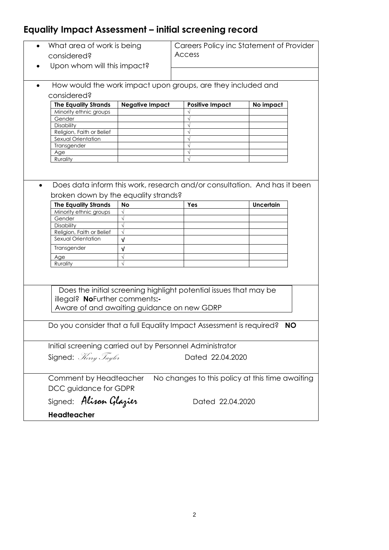# **Equality Impact Assessment – initial screening record**

| What area of work is being<br>٠<br>considered?                      |                                                                           | Careers Policy inc Statement of Provider<br><b>Access</b>                 |                  |           |  |  |  |
|---------------------------------------------------------------------|---------------------------------------------------------------------------|---------------------------------------------------------------------------|------------------|-----------|--|--|--|
| Upon whom will this impact?                                         |                                                                           |                                                                           |                  |           |  |  |  |
| How would the work impact upon groups, are they included and        |                                                                           |                                                                           |                  |           |  |  |  |
| considered?                                                         |                                                                           |                                                                           |                  |           |  |  |  |
| <b>The Equality Strands</b>                                         | <b>Negative Impact</b>                                                    | <b>Positive Impact</b>                                                    | No impact        |           |  |  |  |
| Minority ethnic groups                                              |                                                                           |                                                                           |                  |           |  |  |  |
| Gender                                                              |                                                                           |                                                                           |                  |           |  |  |  |
| Disability                                                          |                                                                           |                                                                           |                  |           |  |  |  |
| Religion, Faith or Belief                                           |                                                                           |                                                                           |                  |           |  |  |  |
| Sexual Orientation                                                  |                                                                           |                                                                           |                  |           |  |  |  |
| Transgender<br>Age                                                  |                                                                           |                                                                           |                  |           |  |  |  |
| Rurality                                                            |                                                                           |                                                                           |                  |           |  |  |  |
|                                                                     |                                                                           |                                                                           |                  |           |  |  |  |
|                                                                     |                                                                           |                                                                           |                  |           |  |  |  |
|                                                                     |                                                                           |                                                                           |                  |           |  |  |  |
|                                                                     |                                                                           | Does data inform this work, research and/or consultation. And has it been |                  |           |  |  |  |
| broken down by the equality strands?                                |                                                                           |                                                                           |                  |           |  |  |  |
| <b>The Equality Strands</b>                                         | <b>No</b>                                                                 | Yes                                                                       | <b>Uncertain</b> |           |  |  |  |
| Minority ethnic groups                                              | $\sqrt{ }$                                                                |                                                                           |                  |           |  |  |  |
| Gender                                                              |                                                                           |                                                                           |                  |           |  |  |  |
| Disability                                                          |                                                                           |                                                                           |                  |           |  |  |  |
| Religion, Faith or Belief                                           | $\sqrt{ }$                                                                |                                                                           |                  |           |  |  |  |
| Sexual Orientation                                                  | V                                                                         |                                                                           |                  |           |  |  |  |
| Transgender                                                         | $\sqrt{ }$                                                                |                                                                           |                  |           |  |  |  |
| Age                                                                 | $\sqrt{ }$                                                                |                                                                           |                  |           |  |  |  |
| Rurality                                                            | $\sqrt{ }$                                                                |                                                                           |                  |           |  |  |  |
|                                                                     |                                                                           |                                                                           |                  |           |  |  |  |
|                                                                     |                                                                           |                                                                           |                  |           |  |  |  |
|                                                                     |                                                                           |                                                                           |                  |           |  |  |  |
|                                                                     |                                                                           | Does the initial screening highlight potential issues that may be         |                  |           |  |  |  |
| illegal? NoFurther comments:-                                       |                                                                           |                                                                           |                  |           |  |  |  |
| Aware of and awaiting guidance on new GDRP                          |                                                                           |                                                                           |                  |           |  |  |  |
|                                                                     |                                                                           |                                                                           |                  |           |  |  |  |
| Do you consider that a full Equality Impact Assessment is required? |                                                                           |                                                                           |                  | <b>NO</b> |  |  |  |
|                                                                     |                                                                           |                                                                           |                  |           |  |  |  |
|                                                                     |                                                                           |                                                                           |                  |           |  |  |  |
| Initial screening carried out by Personnel Administrator            |                                                                           |                                                                           |                  |           |  |  |  |
|                                                                     |                                                                           |                                                                           |                  |           |  |  |  |
| Signed: Herry Taylor                                                |                                                                           | Dated 22.04.2020                                                          |                  |           |  |  |  |
|                                                                     |                                                                           |                                                                           |                  |           |  |  |  |
|                                                                     |                                                                           |                                                                           |                  |           |  |  |  |
|                                                                     | No changes to this policy at this time awaiting<br>Comment by Headteacher |                                                                           |                  |           |  |  |  |
| DCC guidance for GDPR                                               |                                                                           |                                                                           |                  |           |  |  |  |
| Signed: Alisan Glazier                                              |                                                                           | Dated 22.04.2020                                                          |                  |           |  |  |  |
|                                                                     |                                                                           |                                                                           |                  |           |  |  |  |
| Headteacher                                                         |                                                                           |                                                                           |                  |           |  |  |  |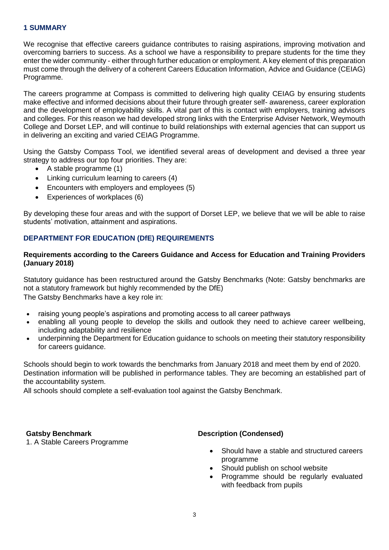### **1 SUMMARY**

We recognise that effective careers guidance contributes to raising aspirations, improving motivation and overcoming barriers to success. As a school we have a responsibility to prepare students for the time they enter the wider community - either through further education or employment. A key element of this preparation must come through the delivery of a coherent Careers Education Information, Advice and Guidance (CEIAG) Programme.

The careers programme at Compass is committed to delivering high quality CEIAG by ensuring students make effective and informed decisions about their future through greater self- awareness, career exploration and the development of employability skills. A vital part of this is contact with employers, training advisors and colleges. For this reason we had developed strong links with the Enterprise Adviser Network, Weymouth College and Dorset LEP, and will continue to build relationships with external agencies that can support us in delivering an exciting and varied CEIAG Programme.

Using the Gatsby Compass Tool, we identified several areas of development and devised a three year strategy to address our top four priorities. They are:

- A stable programme (1)
- Linking curriculum learning to careers (4)
- Encounters with employers and employees (5)
- Experiences of workplaces (6)

By developing these four areas and with the support of Dorset LEP, we believe that we will be able to raise students' motivation, attainment and aspirations.

# **DEPARTMENT FOR EDUCATION (DfE) REQUIREMENTS**

#### **Requirements according to the Careers Guidance and Access for Education and Training Providers (January 2018)**

Statutory guidance has been restructured around the Gatsby Benchmarks (Note: Gatsby benchmarks are not a statutory framework but highly recommended by the DfE) The Gatsby Benchmarks have a key role in:

- raising young people's aspirations and promoting access to all career pathways
- enabling all young people to develop the skills and outlook they need to achieve career wellbeing, including adaptability and resilience
- underpinning the Department for Education guidance to schools on meeting their statutory responsibility for careers guidance.

Schools should begin to work towards the benchmarks from January 2018 and meet them by end of 2020. Destination information will be published in performance tables. They are becoming an established part of the accountability system.

All schools should complete a self-evaluation tool against the Gatsby Benchmark.

#### **Gatsby Benchmark**

1. A Stable Careers Programme

#### **Description (Condensed)**

- Should have a stable and structured careers programme
- Should publish on school website
- Programme should be regularly evaluated with feedback from pupils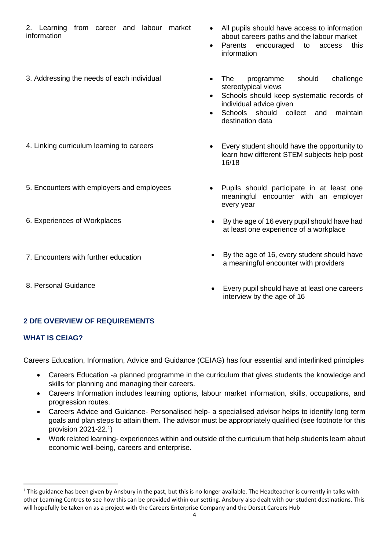2. Learning from career and labour market information

- All pupils should have access to information about careers paths and the labour market
- Parents encouraged to access this information
- 3. Addressing the needs of each individual **The Programme** should challenge stereotypical views
	- Schools should keep systematic records of individual advice given
	- Schools should collect and maintain destination data
- 4. Linking curriculum learning to careers **Exery student should have the opportunity to** learn how different STEM subjects help post 16/18
- 5. Encounters with employers and employees Pupils should participate in at least one meaningful encounter with an employer every year
	- By the age of 16 every pupil should have had at least one experience of a workplace
	- By the age of 16, every student should have a meaningful encounter with providers
	- Every pupil should have at least one careers interview by the age of 16
- 
- 
- 6. Experiences of Workplaces
- 7. Encounters with further education
- 8. Personal Guidance

# **2 DfE OVERVIEW OF REQUIREMENTS**

# **WHAT IS CEIAG?**

Careers Education, Information, Advice and Guidance (CEIAG) has four essential and interlinked principles

- Careers Education -a planned programme in the curriculum that gives students the knowledge and skills for planning and managing their careers.
- Careers Information includes learning options, labour market information, skills, occupations, and progression routes.
- Careers Advice and Guidance- Personalised help- a specialised advisor helps to identify long term goals and plan steps to attain them. The advisor must be appropriately qualified (see footnote for this provision 2021-22.<sup>1</sup> )
- Work related learning- experiences within and outside of the curriculum that help students learn about economic well-being, careers and enterprise.

<sup>1</sup>  $1$  This guidance has been given by Ansbury in the past, but this is no longer available. The Headteacher is currently in talks with other Learning Centres to see how this can be provided within our setting. Ansbury also dealt with our student destinations. This will hopefully be taken on as a project with the Careers Enterprise Company and the Dorset Careers Hub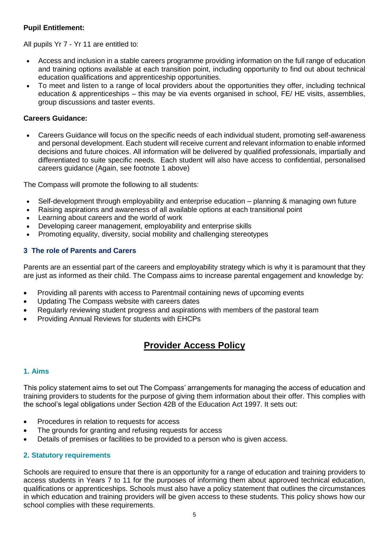# **Pupil Entitlement:**

All pupils Yr 7 - Yr 11 are entitled to:

- Access and inclusion in a stable careers programme providing information on the full range of education and training options available at each transition point, including opportunity to find out about technical education qualifications and apprenticeship opportunities.
- To meet and listen to a range of local providers about the opportunities they offer, including technical education & apprenticeships – this may be via events organised in school, FE/ HE visits, assemblies, group discussions and taster events.

# **Careers Guidance:**

 Careers Guidance will focus on the specific needs of each individual student, promoting self-awareness and personal development. Each student will receive current and relevant information to enable informed decisions and future choices. All information will be delivered by qualified professionals, impartially and differentiated to suite specific needs. Each student will also have access to confidential, personalised careers guidance (Again, see footnote 1 above)

The Compass will promote the following to all students:

- Self-development through employability and enterprise education planning & managing own future
- Raising aspirations and awareness of all available options at each transitional point
- Learning about careers and the world of work
- Developing career management, employability and enterprise skills
- Promoting equality, diversity, social mobility and challenging stereotypes

# **3 The role of Parents and Carers**

Parents are an essential part of the careers and employability strategy which is why it is paramount that they are just as informed as their child. The Compass aims to increase parental engagement and knowledge by:

- Providing all parents with access to Parentmail containing news of upcoming events
- Updating The Compass website with careers dates
- Regularly reviewing student progress and aspirations with members of the pastoral team
- Providing Annual Reviews for students with EHCPs

# **Provider Access Policy**

# **1. Aims**

This policy statement aims to set out The Compass' arrangements for managing the access of education and training providers to students for the purpose of giving them information about their offer. This complies with the school's legal obligations under Section 42B of the Education Act 1997. It sets out:

- Procedures in relation to requests for access
- The grounds for granting and refusing requests for access
- Details of premises or facilities to be provided to a person who is given access.

# **2. Statutory requirements**

Schools are required to ensure that there is an opportunity for a range of education and training providers to access students in Years 7 to 11 for the purposes of informing them about approved technical education, qualifications or apprenticeships. Schools must also have a policy statement that outlines the circumstances in which education and training providers will be given access to these students. This policy shows how our school complies with these requirements.